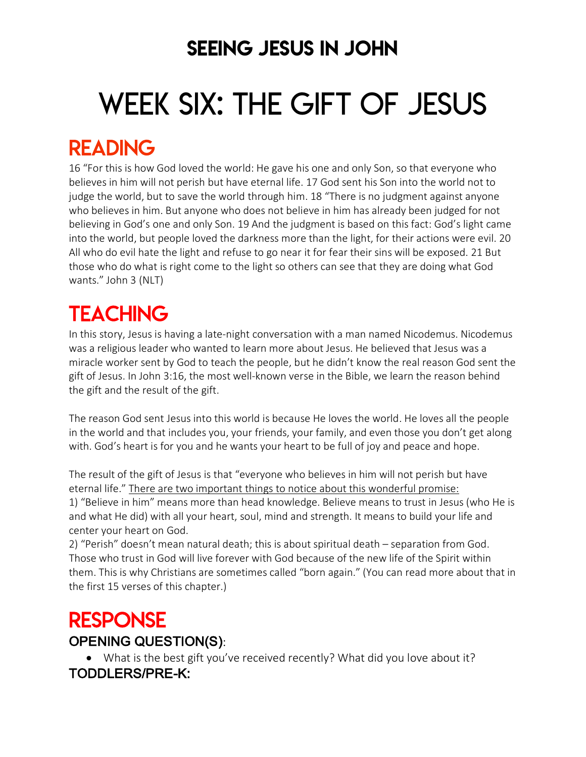### SEEING JESUS IN JOHN

# WEEK SIX: THE GIFT OF JESUS

### READING

16 "For this is how God loved the world: He gave his one and only Son, so that everyone who believes in him will not perish but have eternal life. 17 God sent his Son into the world not to judge the world, but to save the world through him. 18 "There is no judgment against anyone who believes in him. But anyone who does not believe in him has already been judged for not believing in God's one and only Son. 19 And the judgment is based on this fact: God's light came into the world, but people loved the darkness more than the light, for their actions were evil. 20 All who do evil hate the light and refuse to go near it for fear their sins will be exposed. 21 But those who do what is right come to the light so others can see that they are doing what God wants." John 3 (NLT)

## **TEACHING**

In this story, Jesus is having a late-night conversation with a man named Nicodemus. Nicodemus was a religious leader who wanted to learn more about Jesus. He believed that Jesus was a miracle worker sent by God to teach the people, but he didn't know the real reason God sent the gift of Jesus. In John 3:16, the most well-known verse in the Bible, we learn the reason behind the gift and the result of the gift.

The reason God sent Jesus into this world is because He loves the world. He loves all the people in the world and that includes you, your friends, your family, and even those you don't get along with. God's heart is for you and he wants your heart to be full of joy and peace and hope.

The result of the gift of Jesus is that "everyone who believes in him will not perish but have eternal life." There are two important things to notice about this wonderful promise: 1) "Believe in him" means more than head knowledge. Believe means to trust in Jesus (who He is and what He did) with all your heart, soul, mind and strength. It means to build your life and center your heart on God.

2) "Perish" doesn't mean natural death; this is about spiritual death – separation from God. Those who trust in God will live forever with God because of the new life of the Spirit within them. This is why Christians are sometimes called "born again." (You can read more about that in the first 15 verses of this chapter.)

### **RESPONSE** OPENING QUESTION(S):

• What is the best gift you've received recently? What did you love about it? TODDLERS/PRE-K: